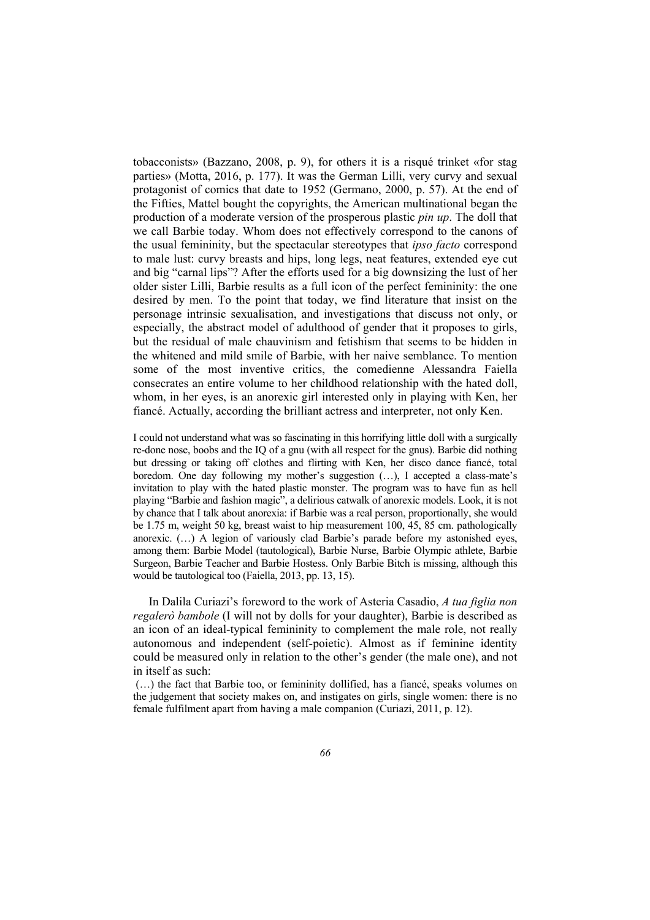tobacconists» (Bazzano, 2008, p. 9), for others it is a risqué trinket «for stag parties» (Motta, 2016, p. 177). It was the German Lilli, very curvy and sexual protagonist of comics that date to 1952 (Germano, 2000, p. 57). At the end of the Fifties, Mattel bought the copyrights, the American multinational began the production of a moderate version of the prosperous plastic *pin up*. The doll that we call Barbie today. Whom does not effectively correspond to the canons of the usual femininity, but the spectacular stereotypes that *ipso facto* correspond to male lust: curvy breasts and hips, long legs, neat features, extended eye cut and big "carnal lips"? After the efforts used for a big downsizing the lust of her older sister Lilli, Barbie results as a full icon of the perfect femininity: the one desired by men. To the point that today, we find literature that insist on the personage intrinsic sexualisation, and investigations that discuss not only, or especially, the abstract model of adulthood of gender that it proposes to girls, but the residual of male chauvinism and fetishism that seems to be hidden in the whitened and mild smile of Barbie, with her naive semblance. To mention some of the most inventive critics, the comedienne Alessandra Faiella consecrates an entire volume to her childhood relationship with the hated doll, whom, in her eyes, is an anorexic girl interested only in playing with Ken, her fiancé. Actually, according the brilliant actress and interpreter, not only Ken.

I could not understand what was so fascinating in this horrifying little doll with a surgically re-done nose, boobs and the IQ of a gnu (with all respect for the gnus). Barbie did nothing but dressing or taking off clothes and flirting with Ken, her disco dance fiancé, total boredom. One day following my mother's suggestion (…), I accepted a class-mate's invitation to play with the hated plastic monster. The program was to have fun as hell playing "Barbie and fashion magic", a delirious catwalk of anorexic models. Look, it is not by chance that I talk about anorexia: if Barbie was a real person, proportionally, she would be 1.75 m, weight 50 kg, breast waist to hip measurement 100, 45, 85 cm. pathologically anorexic. (…) A legion of variously clad Barbie's parade before my astonished eyes, among them: Barbie Model (tautological), Barbie Nurse, Barbie Olympic athlete, Barbie Surgeon, Barbie Teacher and Barbie Hostess. Only Barbie Bitch is missing, although this would be tautological too (Faiella, 2013, pp. 13, 15).

In Dalila Curiazi's foreword to the work of Asteria Casadio, *A tua figlia non regalerò bambole* (I will not by dolls for your daughter), Barbie is described as an icon of an ideal-typical femininity to complement the male role, not really autonomous and independent (self-poietic). Almost as if feminine identity could be measured only in relation to the other's gender (the male one), and not in itself as such:

 (…) the fact that Barbie too, or femininity dollified, has a fiancé, speaks volumes on the judgement that society makes on, and instigates on girls, single women: there is no female fulfilment apart from having a male companion (Curiazi, 2011, p. 12).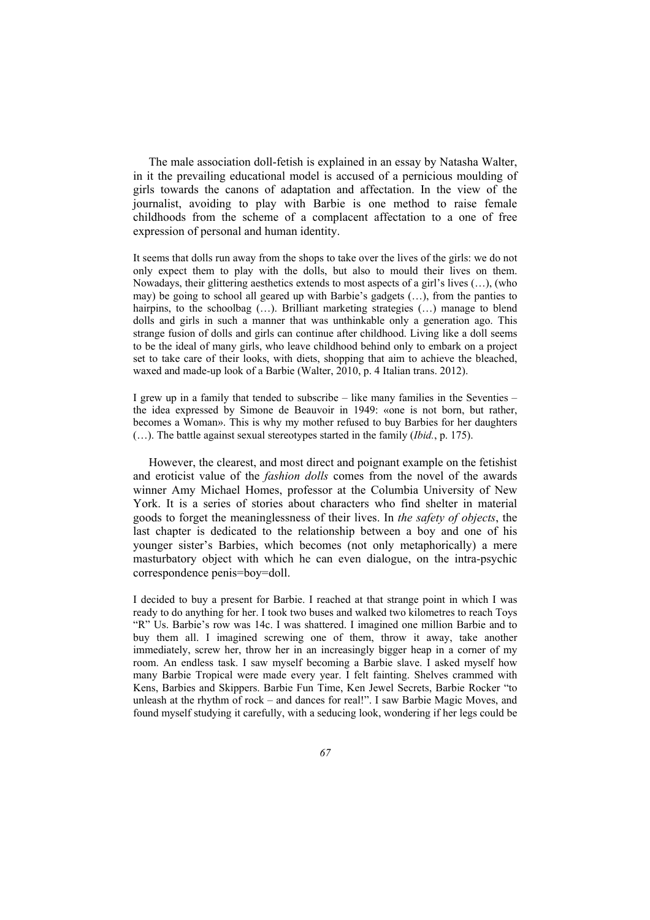The male association doll-fetish is explained in an essay by Natasha Walter, in it the prevailing educational model is accused of a pernicious moulding of girls towards the canons of adaptation and affectation. In the view of the journalist, avoiding to play with Barbie is one method to raise female childhoods from the scheme of a complacent affectation to a one of free expression of personal and human identity.

It seems that dolls run away from the shops to take over the lives of the girls: we do not only expect them to play with the dolls, but also to mould their lives on them. Nowadays, their glittering aesthetics extends to most aspects of a girl's lives (…), (who may) be going to school all geared up with Barbie's gadgets (…), from the panties to hairpins, to the schoolbag (...). Brilliant marketing strategies (...) manage to blend dolls and girls in such a manner that was unthinkable only a generation ago. This strange fusion of dolls and girls can continue after childhood. Living like a doll seems to be the ideal of many girls, who leave childhood behind only to embark on a project set to take care of their looks, with diets, shopping that aim to achieve the bleached, waxed and made-up look of a Barbie (Walter, 2010, p. 4 Italian trans. 2012).

I grew up in a family that tended to subscribe – like many families in the Seventies – the idea expressed by Simone de Beauvoir in 1949: «one is not born, but rather, becomes a Woman». This is why my mother refused to buy Barbies for her daughters (…). The battle against sexual stereotypes started in the family (*Ibid.*, p. 175).

However, the clearest, and most direct and poignant example on the fetishist and eroticist value of the *fashion dolls* comes from the novel of the awards winner Amy Michael Homes, professor at the Columbia University of New York. It is a series of stories about characters who find shelter in material goods to forget the meaninglessness of their lives. In *the safety of objects*, the last chapter is dedicated to the relationship between a boy and one of his younger sister's Barbies, which becomes (not only metaphorically) a mere masturbatory object with which he can even dialogue, on the intra-psychic correspondence penis=boy=doll.

I decided to buy a present for Barbie. I reached at that strange point in which I was ready to do anything for her. I took two buses and walked two kilometres to reach Toys "R" Us. Barbie's row was 14c. I was shattered. I imagined one million Barbie and to buy them all. I imagined screwing one of them, throw it away, take another immediately, screw her, throw her in an increasingly bigger heap in a corner of my room. An endless task. I saw myself becoming a Barbie slave. I asked myself how many Barbie Tropical were made every year. I felt fainting. Shelves crammed with Kens, Barbies and Skippers. Barbie Fun Time, Ken Jewel Secrets, Barbie Rocker "to unleash at the rhythm of rock – and dances for real!". I saw Barbie Magic Moves, and found myself studying it carefully, with a seducing look, wondering if her legs could be

Copyright © FrancoAngeli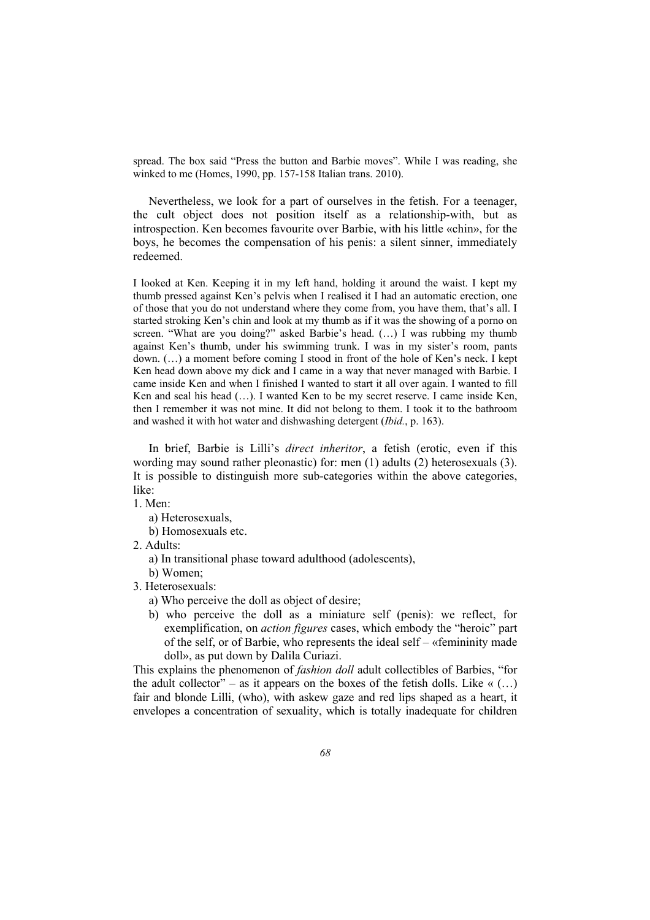spread. The box said "Press the button and Barbie moves". While I was reading, she winked to me (Homes, 1990, pp. 157-158 Italian trans. 2010).

Nevertheless, we look for a part of ourselves in the fetish. For a teenager, the cult object does not position itself as a relationship-with, but as introspection. Ken becomes favourite over Barbie, with his little «chin», for the boys, he becomes the compensation of his penis: a silent sinner, immediately redeemed.

I looked at Ken. Keeping it in my left hand, holding it around the waist. I kept my thumb pressed against Ken's pelvis when I realised it I had an automatic erection, one of those that you do not understand where they come from, you have them, that's all. I started stroking Ken's chin and look at my thumb as if it was the showing of a porno on screen. "What are you doing?" asked Barbie's head. (…) I was rubbing my thumb against Ken's thumb, under his swimming trunk. I was in my sister's room, pants down. (…) a moment before coming I stood in front of the hole of Ken's neck. I kept Ken head down above my dick and I came in a way that never managed with Barbie. I came inside Ken and when I finished I wanted to start it all over again. I wanted to fill Ken and seal his head (…). I wanted Ken to be my secret reserve. I came inside Ken, then I remember it was not mine. It did not belong to them. I took it to the bathroom and washed it with hot water and dishwashing detergent (*Ibid.*, p. 163).

In brief, Barbie is Lilli's *direct inheritor*, a fetish (erotic, even if this wording may sound rather pleonastic) for: men (1) adults (2) heterosexuals (3). It is possible to distinguish more sub-categories within the above categories, like:

1. Men:

a) Heterosexuals,

b) Homosexuals etc.

2. Adults:

a) In transitional phase toward adulthood (adolescents),

b) Women;

3. Heterosexuals:

a) Who perceive the doll as object of desire;

b) who perceive the doll as a miniature self (penis): we reflect, for exemplification, on *action figures* cases, which embody the "heroic" part of the self, or of Barbie, who represents the ideal self – «femininity made doll», as put down by Dalila Curiazi.

This explains the phenomenon of *fashion doll* adult collectibles of Barbies, "for the adult collector" – as it appears on the boxes of the fetish dolls. Like  $\ll$  (...) fair and blonde Lilli, (who), with askew gaze and red lips shaped as a heart, it envelopes a concentration of sexuality, which is totally inadequate for children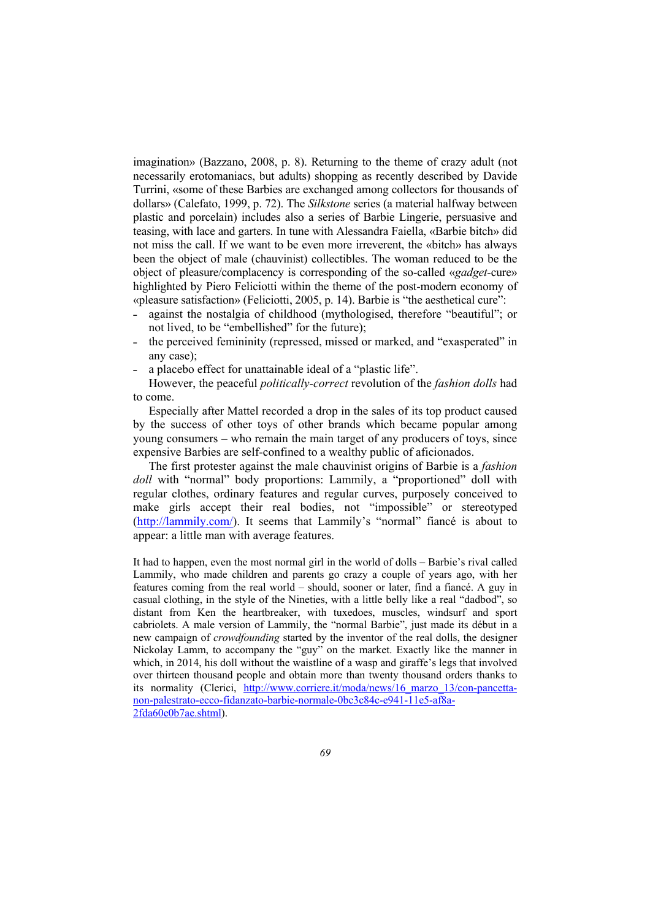imagination» (Bazzano, 2008, p. 8). Returning to the theme of crazy adult (not necessarily erotomaniacs, but adults) shopping as recently described by Davide Turrini, «some of these Barbies are exchanged among collectors for thousands of dollars» (Calefato, 1999, p. 72). The *Silkstone* series (a material halfway between plastic and porcelain) includes also a series of Barbie Lingerie, persuasive and teasing, with lace and garters. In tune with Alessandra Faiella, «Barbie bitch» did not miss the call. If we want to be even more irreverent, the «bitch» has always been the object of male (chauvinist) collectibles. The woman reduced to be the object of pleasure/complacency is corresponding of the so-called «*gadget-*cure» highlighted by Piero Feliciotti within the theme of the post-modern economy of «pleasure satisfaction» (Feliciotti, 2005, p. 14). Barbie is "the aesthetical cure":

- against the nostalgia of childhood (mythologised, therefore "beautiful"; or not lived, to be "embellished" for the future);
- ˗ the perceived femininity (repressed, missed or marked, and "exasperated" in any case);
- ˗ a placebo effect for unattainable ideal of a "plastic life".

However, the peaceful *politically-correct* revolution of the *fashion dolls* had to come.

Especially after Mattel recorded a drop in the sales of its top product caused by the success of other toys of other brands which became popular among young consumers – who remain the main target of any producers of toys, since expensive Barbies are self-confined to a wealthy public of aficionados.

The first protester against the male chauvinist origins of Barbie is a *fashion doll* with "normal" body proportions: Lammily, a "proportioned" doll with regular clothes, ordinary features and regular curves, purposely conceived to make girls accept their real bodies, not "impossible" or stereotyped (http://lammily.com/). It seems that Lammily's "normal" fiancé is about to appear: a little man with average features.

It had to happen, even the most normal girl in the world of dolls – Barbie's rival called Lammily, who made children and parents go crazy a couple of years ago, with her features coming from the real world – should, sooner or later, find a fiancé. A guy in casual clothing, in the style of the Nineties, with a little belly like a real "dadbod", so distant from Ken the heartbreaker, with tuxedoes, muscles, windsurf and sport cabriolets. A male version of Lammily, the "normal Barbie", just made its début in a new campaign of *crowdfounding* started by the inventor of the real dolls, the designer Nickolay Lamm, to accompany the "guy" on the market. Exactly like the manner in which, in 2014, his doll without the waistline of a wasp and giraffe's legs that involved over thirteen thousand people and obtain more than twenty thousand orders thanks to its normality (Clerici, http://www.corriere.it/moda/news/16 marzo 13/con-pancettanon-palestrato-ecco-fidanzato-barbie-normale-0bc3c84c-e941-11e5-af8a-2fda60e0b7ae.shtml).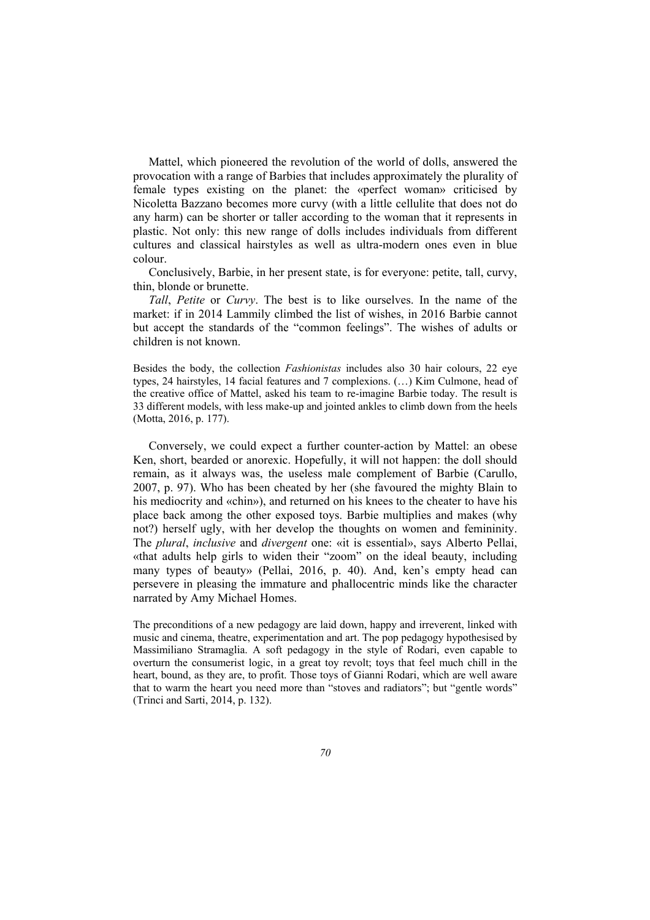Mattel, which pioneered the revolution of the world of dolls, answered the provocation with a range of Barbies that includes approximately the plurality of female types existing on the planet: the «perfect woman» criticised by Nicoletta Bazzano becomes more curvy (with a little cellulite that does not do any harm) can be shorter or taller according to the woman that it represents in plastic. Not only: this new range of dolls includes individuals from different cultures and classical hairstyles as well as ultra-modern ones even in blue colour.

Conclusively, Barbie, in her present state, is for everyone: petite, tall, curvy, thin, blonde or brunette.

*Tall*, *Petite* or *Curvy*. The best is to like ourselves. In the name of the market: if in 2014 Lammily climbed the list of wishes, in 2016 Barbie cannot but accept the standards of the "common feelings". The wishes of adults or children is not known.

Besides the body, the collection *Fashionistas* includes also 30 hair colours, 22 eye types, 24 hairstyles, 14 facial features and 7 complexions. (…) Kim Culmone, head of the creative office of Mattel, asked his team to re-imagine Barbie today. The result is 33 different models, with less make-up and jointed ankles to climb down from the heels (Motta, 2016, p. 177).

Conversely, we could expect a further counter-action by Mattel: an obese Ken, short, bearded or anorexic. Hopefully, it will not happen: the doll should remain, as it always was, the useless male complement of Barbie (Carullo, 2007, p. 97). Who has been cheated by her (she favoured the mighty Blain to his mediocrity and «chin»), and returned on his knees to the cheater to have his place back among the other exposed toys. Barbie multiplies and makes (why not?) herself ugly, with her develop the thoughts on women and femininity. The *plural*, *inclusive* and *divergent* one: «it is essential», says Alberto Pellai, «that adults help girls to widen their "zoom" on the ideal beauty, including many types of beauty» (Pellai, 2016, p. 40). And, ken's empty head can persevere in pleasing the immature and phallocentric minds like the character narrated by Amy Michael Homes.

The preconditions of a new pedagogy are laid down, happy and irreverent, linked with music and cinema, theatre, experimentation and art. The pop pedagogy hypothesised by Massimiliano Stramaglia. A soft pedagogy in the style of Rodari, even capable to overturn the consumerist logic, in a great toy revolt; toys that feel much chill in the heart, bound, as they are, to profit. Those toys of Gianni Rodari, which are well aware that to warm the heart you need more than "stoves and radiators"; but "gentle words" (Trinci and Sarti, 2014, p. 132).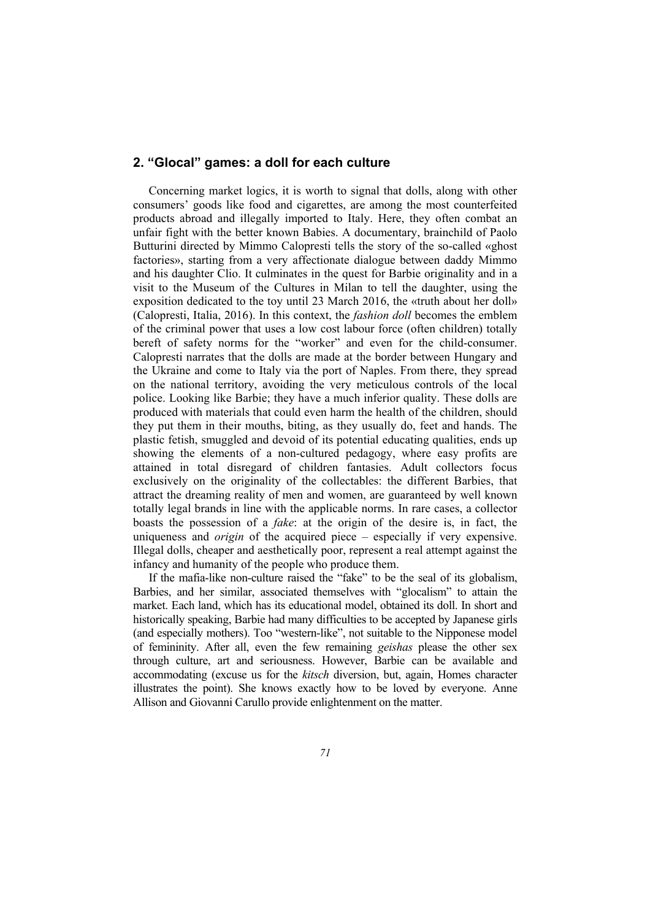# **2. "Glocal" games: a doll for each culture**

Concerning market logics, it is worth to signal that dolls, along with other consumers' goods like food and cigarettes, are among the most counterfeited products abroad and illegally imported to Italy. Here, they often combat an unfair fight with the better known Babies. A documentary, brainchild of Paolo Butturini directed by Mimmo Calopresti tells the story of the so-called «ghost factories», starting from a very affectionate dialogue between daddy Mimmo and his daughter Clio. It culminates in the quest for Barbie originality and in a visit to the Museum of the Cultures in Milan to tell the daughter, using the exposition dedicated to the toy until 23 March 2016, the «truth about her doll» (Calopresti, Italia, 2016). In this context, the *fashion doll* becomes the emblem of the criminal power that uses a low cost labour force (often children) totally bereft of safety norms for the "worker" and even for the child-consumer. Calopresti narrates that the dolls are made at the border between Hungary and the Ukraine and come to Italy via the port of Naples. From there, they spread on the national territory, avoiding the very meticulous controls of the local police. Looking like Barbie; they have a much inferior quality. These dolls are produced with materials that could even harm the health of the children, should they put them in their mouths, biting, as they usually do, feet and hands. The plastic fetish, smuggled and devoid of its potential educating qualities, ends up showing the elements of a non-cultured pedagogy, where easy profits are attained in total disregard of children fantasies. Adult collectors focus exclusively on the originality of the collectables: the different Barbies, that attract the dreaming reality of men and women, are guaranteed by well known totally legal brands in line with the applicable norms. In rare cases, a collector boasts the possession of a *fake*: at the origin of the desire is, in fact, the uniqueness and *origin* of the acquired piece – especially if very expensive. Illegal dolls, cheaper and aesthetically poor, represent a real attempt against the infancy and humanity of the people who produce them.

If the mafia-like non-culture raised the "fake" to be the seal of its globalism, Barbies, and her similar, associated themselves with "glocalism" to attain the market. Each land, which has its educational model, obtained its doll. In short and historically speaking, Barbie had many difficulties to be accepted by Japanese girls (and especially mothers). Too "western-like", not suitable to the Nipponese model of femininity. After all, even the few remaining *geishas* please the other sex through culture, art and seriousness. However, Barbie can be available and accommodating (excuse us for the *kitsch* diversion, but, again, Homes character illustrates the point). She knows exactly how to be loved by everyone. Anne Allison and Giovanni Carullo provide enlightenment on the matter.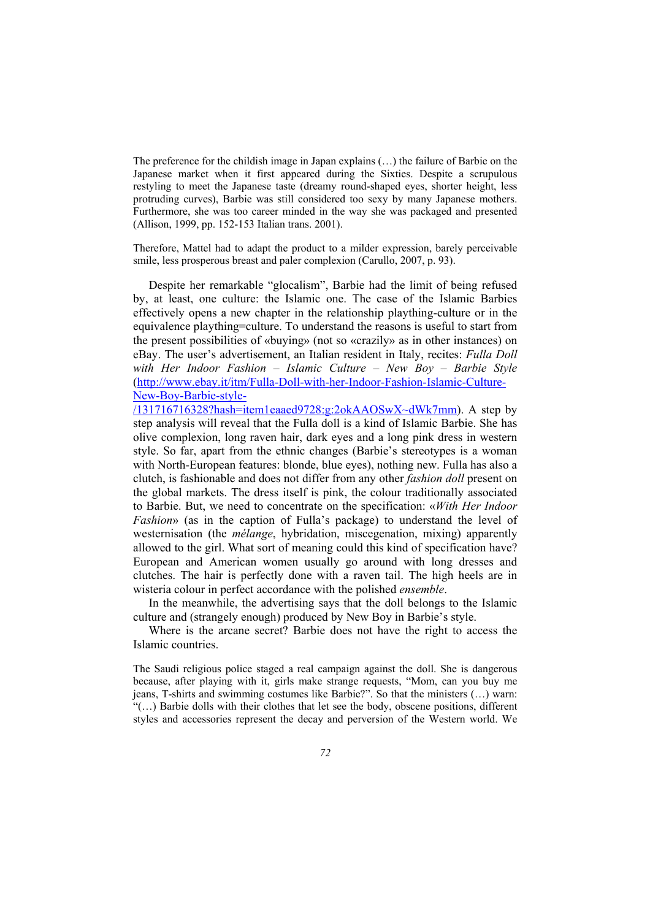The preference for the childish image in Japan explains (…) the failure of Barbie on the Japanese market when it first appeared during the Sixties. Despite a scrupulous restyling to meet the Japanese taste (dreamy round-shaped eyes, shorter height, less protruding curves), Barbie was still considered too sexy by many Japanese mothers. Furthermore, she was too career minded in the way she was packaged and presented (Allison, 1999, pp. 152-153 Italian trans. 2001).

Therefore, Mattel had to adapt the product to a milder expression, barely perceivable smile, less prosperous breast and paler complexion (Carullo, 2007, p. 93).

Despite her remarkable "glocalism", Barbie had the limit of being refused by, at least, one culture: the Islamic one. The case of the Islamic Barbies effectively opens a new chapter in the relationship plaything-culture or in the equivalence plaything=culture. To understand the reasons is useful to start from the present possibilities of «buying» (not so «crazily» as in other instances) on eBay. The user's advertisement, an Italian resident in Italy, recites: *Fulla Doll with Her Indoor Fashion – Islamic Culture – New Boy – Barbie Style* (http://www.ebay.it/itm/Fulla-Doll-with-her-Indoor-Fashion-Islamic-Culture-New-Boy-Barbie-style-

/131716716328?hash=item1eaaed9728:g:2okAAOSwX~dWk7mm). A step by step analysis will reveal that the Fulla doll is a kind of Islamic Barbie. She has olive complexion, long raven hair, dark eyes and a long pink dress in western style. So far, apart from the ethnic changes (Barbie's stereotypes is a woman with North-European features: blonde, blue eyes), nothing new. Fulla has also a clutch, is fashionable and does not differ from any other *fashion doll* present on the global markets. The dress itself is pink, the colour traditionally associated to Barbie. But, we need to concentrate on the specification: «*With Her Indoor Fashion*» (as in the caption of Fulla's package) to understand the level of westernisation (the *mélange*, hybridation, miscegenation, mixing) apparently allowed to the girl. What sort of meaning could this kind of specification have? European and American women usually go around with long dresses and clutches. The hair is perfectly done with a raven tail. The high heels are in wisteria colour in perfect accordance with the polished *ensemble*.

In the meanwhile, the advertising says that the doll belongs to the Islamic culture and (strangely enough) produced by New Boy in Barbie's style.

Where is the arcane secret? Barbie does not have the right to access the Islamic countries.

The Saudi religious police staged a real campaign against the doll. She is dangerous because, after playing with it, girls make strange requests, "Mom, can you buy me jeans, T-shirts and swimming costumes like Barbie?". So that the ministers (…) warn: "(…) Barbie dolls with their clothes that let see the body, obscene positions, different styles and accessories represent the decay and perversion of the Western world. We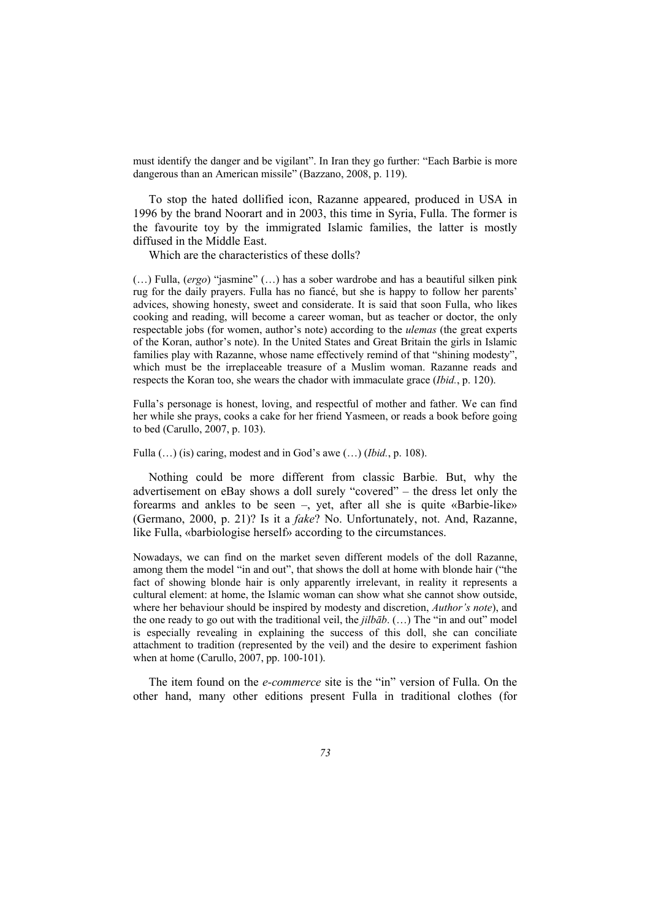must identify the danger and be vigilant". In Iran they go further: "Each Barbie is more dangerous than an American missile" (Bazzano, 2008, p. 119).

To stop the hated dollified icon, Razanne appeared, produced in USA in 1996 by the brand Noorart and in 2003, this time in Syria, Fulla. The former is the favourite toy by the immigrated Islamic families, the latter is mostly diffused in the Middle East.

Which are the characteristics of these dolls?

(…) Fulla, (*ergo*) "jasmine" (…) has a sober wardrobe and has a beautiful silken pink rug for the daily prayers. Fulla has no fiancé, but she is happy to follow her parents' advices, showing honesty, sweet and considerate. It is said that soon Fulla, who likes cooking and reading, will become a career woman, but as teacher or doctor, the only respectable jobs (for women, author's note) according to the *ulemas* (the great experts of the Koran, author's note). In the United States and Great Britain the girls in Islamic families play with Razanne, whose name effectively remind of that "shining modesty", which must be the irreplaceable treasure of a Muslim woman. Razanne reads and respects the Koran too, she wears the chador with immaculate grace (*Ibid.*, p. 120).

Fulla's personage is honest, loving, and respectful of mother and father. We can find her while she prays, cooks a cake for her friend Yasmeen, or reads a book before going to bed (Carullo, 2007, p. 103).

Fulla (…) (is) caring, modest and in God's awe (…) (*Ibid.*, p. 108).

Nothing could be more different from classic Barbie. But, why the advertisement on eBay shows a doll surely "covered" – the dress let only the forearms and ankles to be seen –, yet, after all she is quite «Barbie-like» (Germano, 2000, p. 21)? Is it a *fake*? No. Unfortunately, not. And, Razanne, like Fulla, «barbiologise herself» according to the circumstances.

Nowadays, we can find on the market seven different models of the doll Razanne, among them the model "in and out", that shows the doll at home with blonde hair ("the fact of showing blonde hair is only apparently irrelevant, in reality it represents a cultural element: at home, the Islamic woman can show what she cannot show outside, where her behaviour should be inspired by modesty and discretion, *Author's note*), and the one ready to go out with the traditional veil, the *jilbāb*. (…) The "in and out" model is especially revealing in explaining the success of this doll, she can conciliate attachment to tradition (represented by the veil) and the desire to experiment fashion when at home (Carullo, 2007, pp. 100-101).

The item found on the *e-commerce* site is the "in" version of Fulla. On the other hand, many other editions present Fulla in traditional clothes (for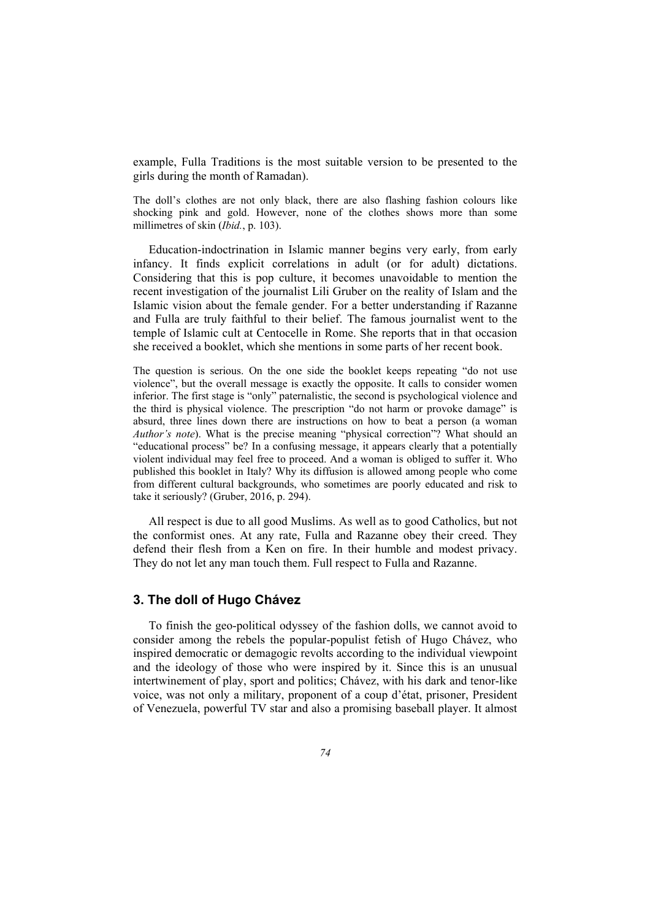example, Fulla Traditions is the most suitable version to be presented to the girls during the month of Ramadan).

The doll's clothes are not only black, there are also flashing fashion colours like shocking pink and gold. However, none of the clothes shows more than some millimetres of skin (*Ibid.*, p. 103).

Education-indoctrination in Islamic manner begins very early, from early infancy. It finds explicit correlations in adult (or for adult) dictations. Considering that this is pop culture, it becomes unavoidable to mention the recent investigation of the journalist Lili Gruber on the reality of Islam and the Islamic vision about the female gender. For a better understanding if Razanne and Fulla are truly faithful to their belief. The famous journalist went to the temple of Islamic cult at Centocelle in Rome. She reports that in that occasion she received a booklet, which she mentions in some parts of her recent book.

The question is serious. On the one side the booklet keeps repeating "do not use violence", but the overall message is exactly the opposite. It calls to consider women inferior. The first stage is "only" paternalistic, the second is psychological violence and the third is physical violence. The prescription "do not harm or provoke damage" is absurd, three lines down there are instructions on how to beat a person (a woman *Author's note*). What is the precise meaning "physical correction"? What should an "educational process" be? In a confusing message, it appears clearly that a potentially violent individual may feel free to proceed. And a woman is obliged to suffer it. Who published this booklet in Italy? Why its diffusion is allowed among people who come from different cultural backgrounds, who sometimes are poorly educated and risk to take it seriously? (Gruber, 2016, p. 294).

All respect is due to all good Muslims. As well as to good Catholics, but not the conformist ones. At any rate, Fulla and Razanne obey their creed. They defend their flesh from a Ken on fire. In their humble and modest privacy. They do not let any man touch them. Full respect to Fulla and Razanne.

#### **3. The doll of Hugo Chávez**

To finish the geo-political odyssey of the fashion dolls, we cannot avoid to consider among the rebels the popular-populist fetish of Hugo Chávez, who inspired democratic or demagogic revolts according to the individual viewpoint and the ideology of those who were inspired by it. Since this is an unusual intertwinement of play, sport and politics; Chávez, with his dark and tenor-like voice, was not only a military, proponent of a coup d'état, prisoner, President of Venezuela, powerful TV star and also a promising baseball player. It almost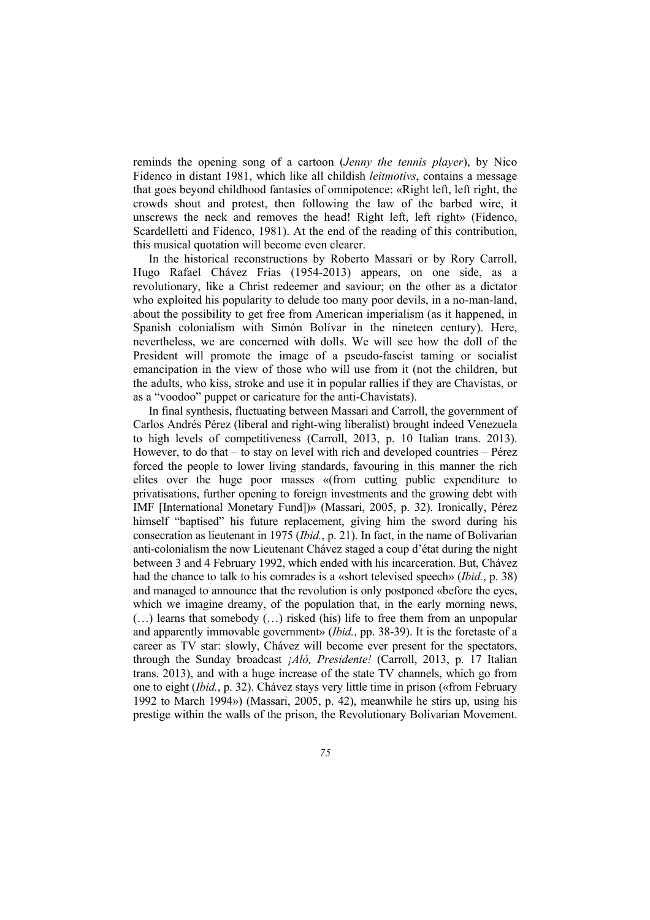reminds the opening song of a cartoon (*Jenny the tennis player*), by Nico Fidenco in distant 1981, which like all childish *leitmotivs*, contains a message that goes beyond childhood fantasies of omnipotence: «Right left, left right, the crowds shout and protest, then following the law of the barbed wire, it unscrews the neck and removes the head! Right left, left right» (Fidenco, Scardelletti and Fidenco, 1981). At the end of the reading of this contribution, this musical quotation will become even clearer.

In the historical reconstructions by Roberto Massari or by Rory Carroll, Hugo Rafael Chávez Frias (1954-2013) appears, on one side, as a revolutionary, like a Christ redeemer and saviour; on the other as a dictator who exploited his popularity to delude too many poor devils, in a no-man-land, about the possibility to get free from American imperialism (as it happened, in Spanish colonialism with Simón Bolívar in the nineteen century). Here, nevertheless, we are concerned with dolls. We will see how the doll of the President will promote the image of a pseudo-fascist taming or socialist emancipation in the view of those who will use from it (not the children, but the adults, who kiss, stroke and use it in popular rallies if they are Chavistas, or as a "voodoo" puppet or caricature for the anti-Chavistats).

In final synthesis, fluctuating between Massari and Carroll, the government of Carlos Andrés Pérez (liberal and right-wing liberalist) brought indeed Venezuela to high levels of competitiveness (Carroll, 2013, p. 10 Italian trans. 2013). However, to do that – to stay on level with rich and developed countries – Pérez forced the people to lower living standards, favouring in this manner the rich elites over the huge poor masses «(from cutting public expenditure to privatisations, further opening to foreign investments and the growing debt with IMF [International Monetary Fund])» (Massari, 2005, p. 32). Ironically, Pérez himself "baptised" his future replacement, giving him the sword during his consecration as lieutenant in 1975 (*Ibid.*, p. 21). In fact, in the name of Bolivarian anti-colonialism the now Lieutenant Chávez staged a coup d'état during the night between 3 and 4 February 1992, which ended with his incarceration. But, Chávez had the chance to talk to his comrades is a «short televised speech» (*Ibid.*, p. 38) and managed to announce that the revolution is only postponed «before the eyes, which we imagine dreamy, of the population that, in the early morning news, (…) learns that somebody (…) risked (his) life to free them from an unpopular and apparently immovable government» (*Ibid.*, pp. 38-39). It is the foretaste of a career as TV star: slowly, Chávez will become ever present for the spectators, through the Sunday broadcast *¡Aló, Presidente!* (Carroll, 2013, p. 17 Italian trans. 2013), and with a huge increase of the state TV channels, which go from one to eight (*Ibid.*, p. 32). Chávez stays very little time in prison («from February 1992 to March 1994») (Massari, 2005, p. 42), meanwhile he stirs up, using his prestige within the walls of the prison, the Revolutionary Bolivarian Movement.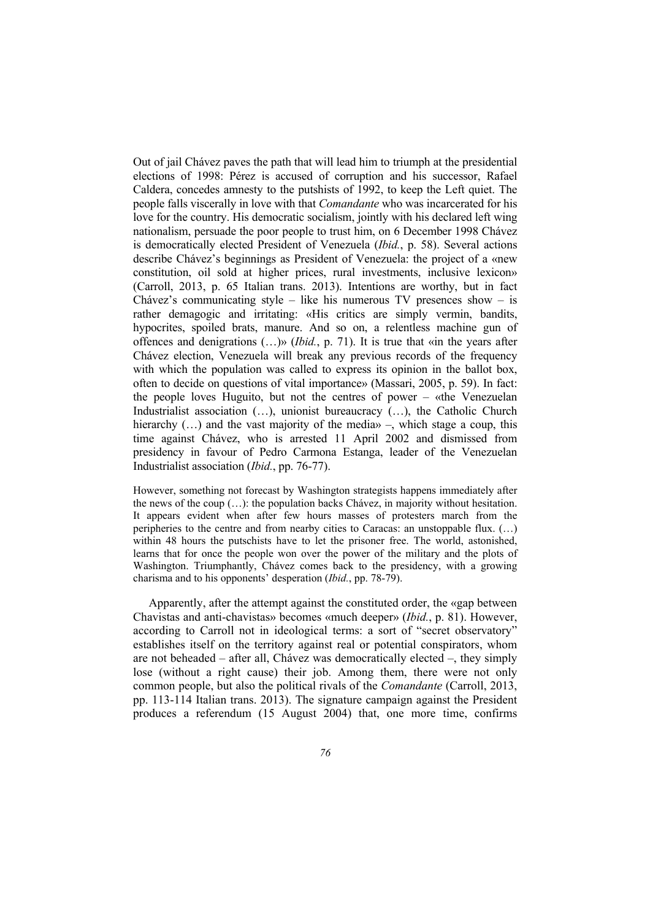Out of jail Chávez paves the path that will lead him to triumph at the presidential elections of 1998: Pérez is accused of corruption and his successor, Rafael Caldera, concedes amnesty to the putshists of 1992, to keep the Left quiet. The people falls viscerally in love with that *Comandante* who was incarcerated for his love for the country. His democratic socialism, jointly with his declared left wing nationalism, persuade the poor people to trust him, on 6 December 1998 Chávez is democratically elected President of Venezuela (*Ibid.*, p. 58). Several actions describe Chávez's beginnings as President of Venezuela: the project of a «new constitution, oil sold at higher prices, rural investments, inclusive lexicon» (Carroll, 2013, p. 65 Italian trans. 2013). Intentions are worthy, but in fact Chávez's communicating style – like his numerous TV presences show – is rather demagogic and irritating: «His critics are simply vermin, bandits, hypocrites, spoiled brats, manure. And so on, a relentless machine gun of offences and denigrations (…)» (*Ibid.*, p. 71). It is true that «in the years after Chávez election, Venezuela will break any previous records of the frequency with which the population was called to express its opinion in the ballot box, often to decide on questions of vital importance» (Massari, 2005, p. 59). In fact: the people loves Huguito, but not the centres of power – «the Venezuelan Industrialist association (…), unionist bureaucracy (…), the Catholic Church hierarchy  $(...)$  and the vast majority of the media» –, which stage a coup, this time against Chávez, who is arrested 11 April 2002 and dismissed from presidency in favour of Pedro Carmona Estanga, leader of the Venezuelan Industrialist association (*Ibid.*, pp. 76-77).

However, something not forecast by Washington strategists happens immediately after the news of the coup (…): the population backs Chávez, in majority without hesitation. It appears evident when after few hours masses of protesters march from the peripheries to the centre and from nearby cities to Caracas: an unstoppable flux. (…) within 48 hours the putschists have to let the prisoner free. The world, astonished, learns that for once the people won over the power of the military and the plots of Washington. Triumphantly, Chávez comes back to the presidency, with a growing charisma and to his opponents' desperation (*Ibid.*, pp. 78-79).

Apparently, after the attempt against the constituted order, the «gap between Chavistas and anti-chavistas» becomes «much deeper» (*Ibid.*, p. 81). However, according to Carroll not in ideological terms: a sort of "secret observatory" establishes itself on the territory against real or potential conspirators, whom are not beheaded – after all, Chávez was democratically elected –, they simply lose (without a right cause) their job. Among them, there were not only common people, but also the political rivals of the *Comandante* (Carroll, 2013, pp. 113-114 Italian trans. 2013). The signature campaign against the President produces a referendum (15 August 2004) that, one more time, confirms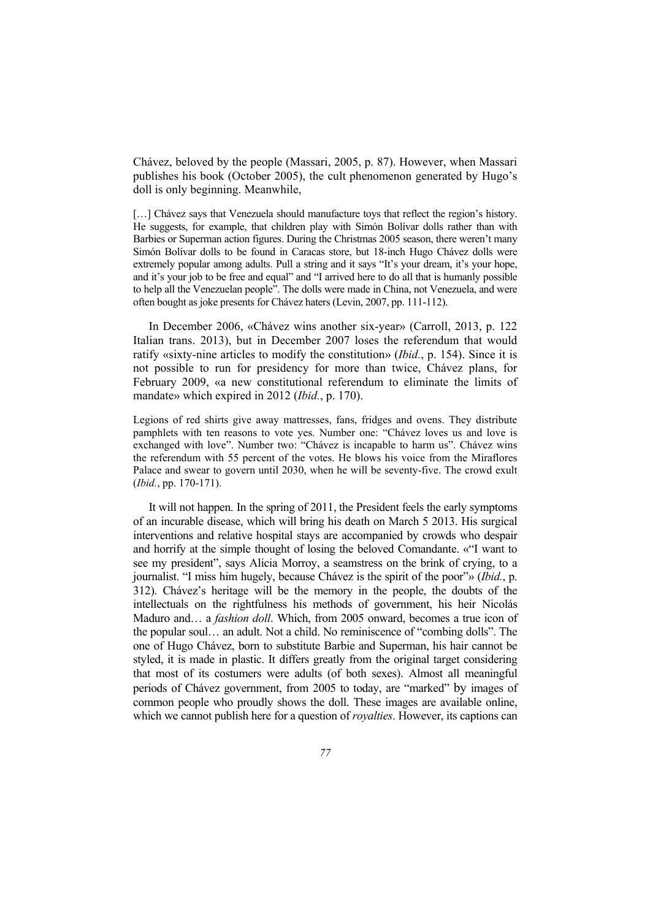Chávez, beloved by the people (Massari, 2005, p. 87). However, when Massari publishes his book (October 2005), the cult phenomenon generated by Hugo's doll is only beginning. Meanwhile,

[...] Chávez says that Venezuela should manufacture toys that reflect the region's history. He suggests, for example, that children play with Simón Bolívar dolls rather than with Barbies or Superman action figures. During the Christmas 2005 season, there weren't many Simón Bolívar dolls to be found in Caracas store, but 18-inch Hugo Chávez dolls were extremely popular among adults. Pull a string and it says "It's your dream, it's your hope, and it's your job to be free and equal" and "I arrived here to do all that is humanly possible to help all the Venezuelan people". The dolls were made in China, not Venezuela, and were often bought as joke presents for Chávez haters (Levin, 2007, pp. 111-112).

In December 2006, «Chávez wins another six-year» (Carroll, 2013, p. 122 Italian trans. 2013), but in December 2007 loses the referendum that would ratify «sixty-nine articles to modify the constitution» (*Ibid.*, p. 154). Since it is not possible to run for presidency for more than twice, Chávez plans, for February 2009, «a new constitutional referendum to eliminate the limits of mandate» which expired in 2012 (*Ibid.*, p. 170).

Legions of red shirts give away mattresses, fans, fridges and ovens. They distribute pamphlets with ten reasons to vote yes. Number one: "Chávez loves us and love is exchanged with love". Number two: "Chávez is incapable to harm us". Chávez wins the referendum with 55 percent of the votes. He blows his voice from the Miraflores Palace and swear to govern until 2030, when he will be seventy-five. The crowd exult (*Ibid.*, pp. 170-171).

It will not happen. In the spring of 2011, the President feels the early symptoms of an incurable disease, which will bring his death on March 5 2013. His surgical interventions and relative hospital stays are accompanied by crowds who despair and horrify at the simple thought of losing the beloved Comandante. «"I want to see my president", says Alicia Morroy, a seamstress on the brink of crying, to a journalist. "I miss him hugely, because Chávez is the spirit of the poor"» (*Ibid.*, p. 312). Chávez's heritage will be the memory in the people, the doubts of the intellectuals on the rightfulness his methods of government, his heir Nicolás Maduro and… a *fashion doll*. Which, from 2005 onward, becomes a true icon of the popular soul… an adult. Not a child. No reminiscence of "combing dolls". The one of Hugo Chávez, born to substitute Barbie and Superman, his hair cannot be styled, it is made in plastic. It differs greatly from the original target considering that most of its costumers were adults (of both sexes). Almost all meaningful periods of Chávez government, from 2005 to today, are "marked" by images of common people who proudly shows the doll. These images are available online, which we cannot publish here for a question of *royalties*. However, its captions can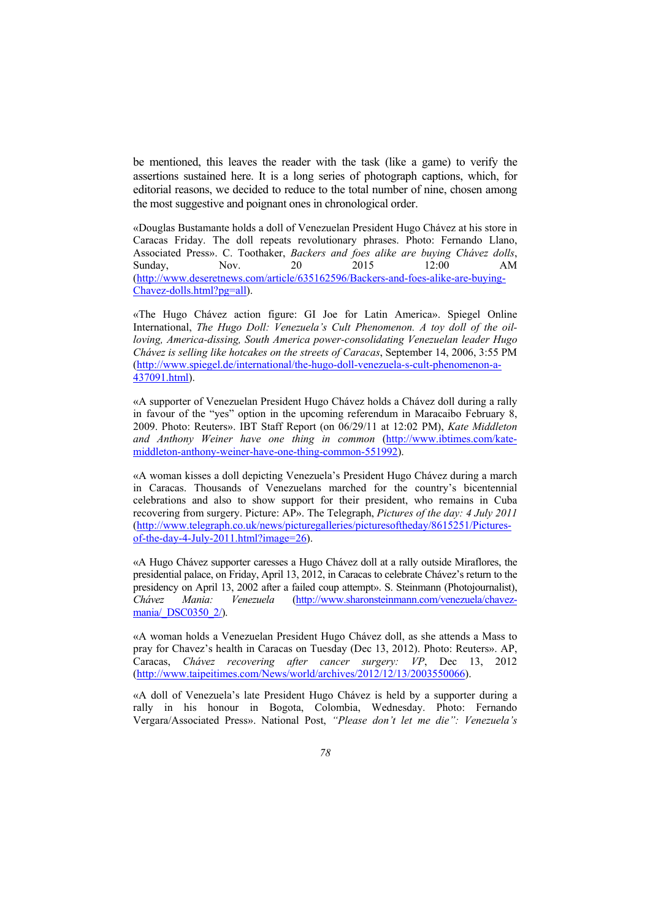be mentioned, this leaves the reader with the task (like a game) to verify the assertions sustained here. It is a long series of photograph captions, which, for editorial reasons, we decided to reduce to the total number of nine, chosen among the most suggestive and poignant ones in chronological order.

«Douglas Bustamante holds a doll of Venezuelan President Hugo Chávez at his store in Caracas Friday. The doll repeats revolutionary phrases. Photo: Fernando Llano, Associated Press». C. Toothaker, *Backers and foes alike are buying Chávez dolls*, Sunday, Nov. 20 2015 12:00 AM (http://www.deseretnews.com/article/635162596/Backers-and-foes-alike-are-buying-Chavez-dolls.html?pg=all).

«The Hugo Chávez action figure: GI Joe for Latin America». Spiegel Online International, *The Hugo Doll: Venezuela's Cult Phenomenon. A toy doll of the oilloving, America-dissing, South America power-consolidating Venezuelan leader Hugo Chávez is selling like hotcakes on the streets of Caracas*, September 14, 2006, 3:55 PM (http://www.spiegel.de/international/the-hugo-doll-venezuela-s-cult-phenomenon-a-437091.html).

«A supporter of Venezuelan President Hugo Chávez holds a Chávez doll during a rally in favour of the "yes" option in the upcoming referendum in Maracaibo February 8, 2009. Photo: Reuters». IBT Staff Report (on 06/29/11 at 12:02 PM), *Kate Middleton and Anthony Weiner have one thing in common* (http://www.ibtimes.com/katemiddleton-anthony-weiner-have-one-thing-common-551992).

«A woman kisses a doll depicting Venezuela's President Hugo Chávez during a march in Caracas. Thousands of Venezuelans marched for the country's bicentennial celebrations and also to show support for their president, who remains in Cuba recovering from surgery. Picture: AP». The Telegraph, *Pictures of the day: 4 July 2011* (http://www.telegraph.co.uk/news/picturegalleries/picturesoftheday/8615251/Picturesof-the-day-4-July-2011.html?image=26).

«A Hugo Chávez supporter caresses a Hugo Chávez doll at a rally outside Miraflores, the presidential palace, on Friday, April 13, 2012, in Caracas to celebrate Chávez's return to the presidency on April 13, 2002 after a failed coup attempt». S. Steinmann (Photojournalist), *Chávez Mania: Venezuela* (http://www.sharonsteinmann.com/venezuela/chavezmania/ DSC0350 2/).

«A woman holds a Venezuelan President Hugo Chávez doll, as she attends a Mass to pray for Chavez's health in Caracas on Tuesday (Dec 13, 2012). Photo: Reuters». AP, Caracas, *Chávez recovering after cancer surgery: VP*, Dec 13, 2012 (http://www.taipeitimes.com/News/world/archives/2012/12/13/2003550066).

«A doll of Venezuela's late President Hugo Chávez is held by a supporter during a rally in his honour in Bogota, Colombia, Wednesday. Photo: Fernando Vergara/Associated Press». National Post, *"Please don't let me die": Venezuela's*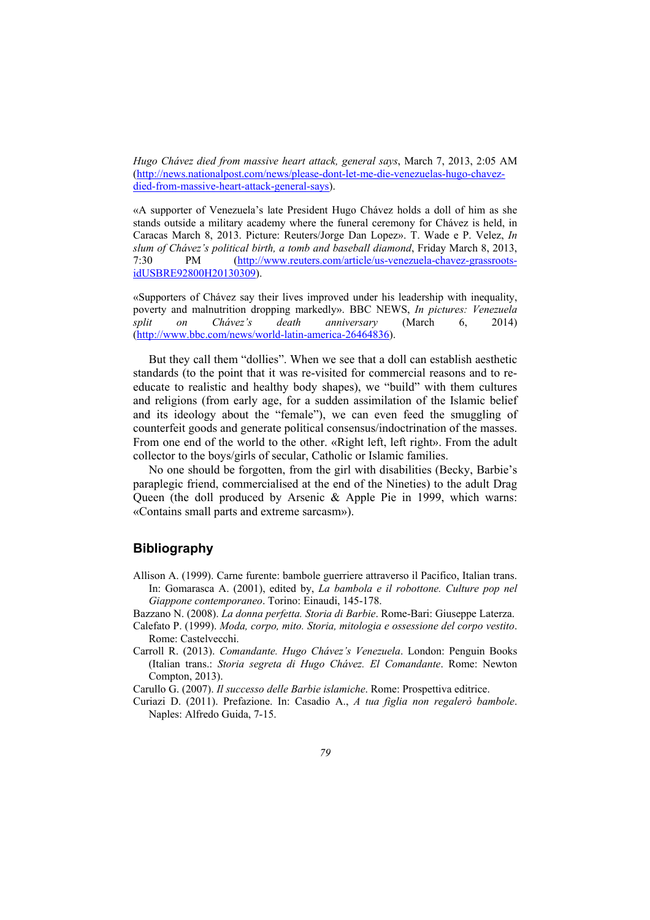*Hugo Chávez died from massive heart attack, general says*, March 7, 2013, 2:05 AM (http://news.nationalpost.com/news/please-dont-let-me-die-venezuelas-hugo-chavezdied-from-massive-heart-attack-general-says).

«A supporter of Venezuela's late President Hugo Chávez holds a doll of him as she stands outside a military academy where the funeral ceremony for Chávez is held, in Caracas March 8, 2013. Picture: Reuters/Jorge Dan Lopez». T. Wade e P. Velez, *In slum of Chávez's political birth, a tomb and baseball diamond*, Friday March 8, 2013, 7:30 PM (http://www.reuters.com/article/us-venezuela-chavez-grassrootsidUSBRE92800H20130309).

«Supporters of Chávez say their lives improved under his leadership with inequality, poverty and malnutrition dropping markedly». BBC NEWS, *In pictures: Venezuela split on Chávez's death anniversary* (March 6, 2014) (http://www.bbc.com/news/world-latin-america-26464836).

But they call them "dollies". When we see that a doll can establish aesthetic standards (to the point that it was re-visited for commercial reasons and to reeducate to realistic and healthy body shapes), we "build" with them cultures and religions (from early age, for a sudden assimilation of the Islamic belief and its ideology about the "female"), we can even feed the smuggling of counterfeit goods and generate political consensus/indoctrination of the masses. From one end of the world to the other. «Right left, left right». From the adult collector to the boys/girls of secular, Catholic or Islamic families.

No one should be forgotten, from the girl with disabilities (Becky, Barbie's paraplegic friend, commercialised at the end of the Nineties) to the adult Drag Queen (the doll produced by Arsenic & Apple Pie in 1999, which warns: «Contains small parts and extreme sarcasm»).

## **Bibliography**

- Allison A. (1999). Carne furente: bambole guerriere attraverso il Pacifico, Italian trans. In: Gomarasca A. (2001), edited by, *La bambola e il robottone. Culture pop nel Giappone contemporaneo*. Torino: Einaudi, 145-178.
- Bazzano N. (2008). *La donna perfetta. Storia di Barbie*. Rome-Bari: Giuseppe Laterza.
- Calefato P. (1999). *Moda, corpo, mito. Storia, mitologia e ossessione del corpo vestito*. Rome: Castelvecchi.
- Carroll R. (2013). *Comandante. Hugo Chávez's Venezuela*. London: Penguin Books (Italian trans.: *Storia segreta di Hugo Chávez. El Comandante*. Rome: Newton Compton, 2013).

Carullo G. (2007). *Il successo delle Barbie islamiche*. Rome: Prospettiva editrice.

Curiazi D. (2011). Prefazione. In: Casadio A., *A tua figlia non regalerò bambole*. Naples: Alfredo Guida, 7-15.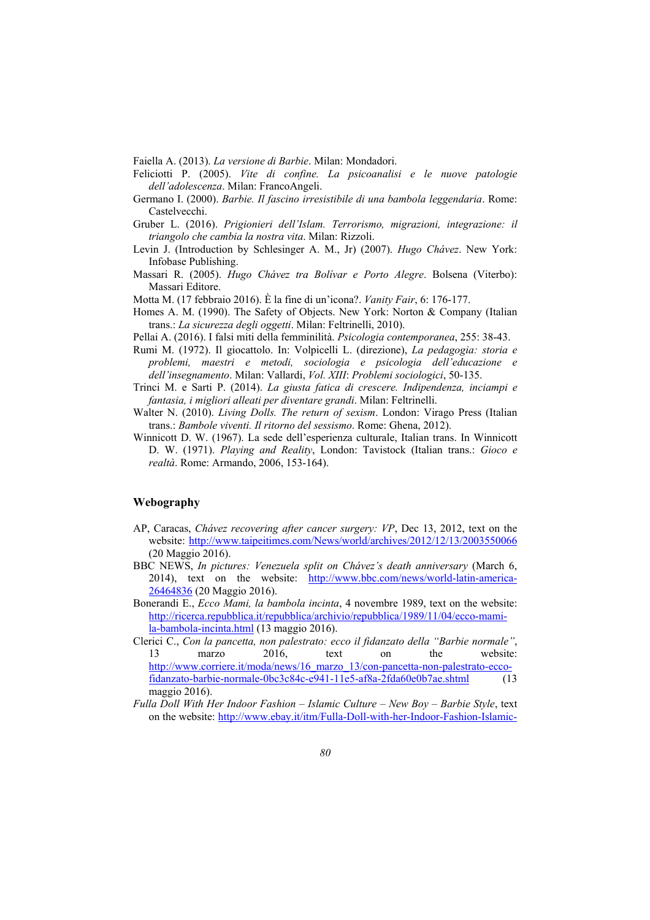- Faiella A. (2013). *La versione di Barbie*. Milan: Mondadori.
- Feliciotti P. (2005). *Vite di confine. La psicoanalisi e le nuove patologie dell'adolescenza*. Milan: FrancoAngeli.
- Germano I. (2000). *Barbie. Il fascino irresistibile di una bambola leggendaria*. Rome: Castelvecchi.
- Gruber L. (2016). *Prigionieri dell'Islam. Terrorismo, migrazioni, integrazione: il triangolo che cambia la nostra vita*. Milan: Rizzoli.
- Levin J. (Introduction by Schlesinger A. M., Jr) (2007). *Hugo Chávez*. New York: Infobase Publishing.
- Massari R. (2005). *Hugo Chávez tra Bolívar e Porto Alegre*. Bolsena (Viterbo): Massari Editore.
- Motta M. (17 febbraio 2016). È la fine di un'icona?. *Vanity Fair*, 6: 176-177.
- Homes A. M. (1990). The Safety of Objects. New York: Norton & Company (Italian trans.: *La sicurezza degli oggetti*. Milan: Feltrinelli, 2010).
- Pellai A. (2016). I falsi miti della femminilità. *Psicologia contemporanea*, 255: 38-43.
- Rumi M. (1972). Il giocattolo. In: Volpicelli L. (direzione), *La pedagogia: storia e problemi, maestri e metodi, sociologia e psicologia dell'educazione e dell'insegnamento*. Milan: Vallardi, *Vol. XIII*: *Problemi sociologici*, 50-135.
- Trinci M. e Sarti P. (2014). *La giusta fatica di crescere. Indipendenza, inciampi e fantasia, i migliori alleati per diventare grandi*. Milan: Feltrinelli.
- Walter N. (2010). *Living Dolls. The return of sexism*. London: Virago Press (Italian trans.: *Bambole viventi. Il ritorno del sessismo*. Rome: Ghena, 2012).
- Winnicott D. W. (1967). La sede dell'esperienza culturale, Italian trans. In Winnicott D. W. (1971). *Playing and Reality*, London: Tavistock (Italian trans.: *Gioco e realtà*. Rome: Armando, 2006, 153-164).

#### **Webography**

- AP, Caracas, *Chávez recovering after cancer surgery: VP*, Dec 13, 2012, text on the website: http://www.taipeitimes.com/News/world/archives/2012/12/13/2003550066 (20 Maggio 2016).
- BBC NEWS, *In pictures: Venezuela split on Chávez's death anniversary* (March 6, 2014), text on the website: http://www.bbc.com/news/world-latin-america-26464836 (20 Maggio 2016).
- Bonerandi E., *Ecco Mami, la bambola incinta*, 4 novembre 1989, text on the website: http://ricerca.repubblica.it/repubblica/archivio/repubblica/1989/11/04/ecco-mamila-bambola-incinta.html (13 maggio 2016).
- Clerici C., *Con la pancetta, non palestrato: ecco il fidanzato della "Barbie normale"*, 13 marzo 2016, text on the website: http://www.corriere.it/moda/news/16\_marzo\_13/con-pancetta-non-palestrato-eccofidanzato-barbie-normale-0bc3c84c-e941-11e5-af8a-2fda60e0b7ae.shtml (13 maggio 2016).
- *Fulla Doll With Her Indoor Fashion Islamic Culture New Boy Barbie Style*, text on the website: http://www.ebay.it/itm/Fulla-Doll-with-her-Indoor-Fashion-Islamic-

Copyright © FrancoAngeli Opera pubblicata con Licenza Creative Commons Attribuzione - Non commerciale - Non opere derivate. Per i termini e le condizioni di utilizzo di questa opera consultare il sito: http://creativecommons.org/.